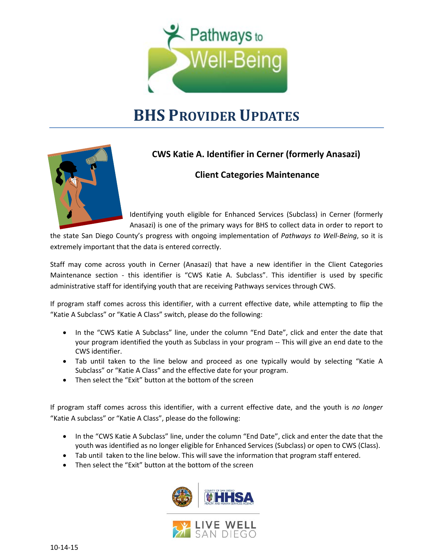

## **BHS PROVIDER UPDATES**



## **CWS Katie A. Identifier in Cerner (formerly Anasazi)**

## **Client Categories Maintenance**

Identifying youth eligible for Enhanced Services (Subclass) in Cerner (formerly Anasazi) is one of the primary ways for BHS to collect data in order to report to

the state San Diego County's progress with ongoing implementation of *Pathways to Well-Being*, so it is extremely important that the data is entered correctly.

Staff may come across youth in Cerner (Anasazi) that have a new identifier in the Client Categories Maintenance section - this identifier is "CWS Katie A. Subclass". This identifier is used by specific administrative staff for identifying youth that are receiving Pathways services through CWS.

If program staff comes across this identifier, with a current effective date, while attempting to flip the "Katie A Subclass" or "Katie A Class" switch, please do the following:

- In the "CWS Katie A Subclass" line, under the column "End Date", click and enter the date that your program identified the youth as Subclass in your program -- This will give an end date to the CWS identifier.
- Tab until taken to the line below and proceed as one typically would by selecting "Katie A Subclass" or "Katie A Class" and the effective date for your program.
- Then select the "Exit" button at the bottom of the screen

If program staff comes across this identifier, with a current effective date, and the youth is *no longer* "Katie A subclass" or "Katie A Class", please do the following:

- In the "CWS Katie A Subclass" line, under the column "End Date", click and enter the date that the youth was identified as no longer eligible for Enhanced Services (Subclass) or open to CWS (Class).
- Tab until taken to the line below. This will save the information that program staff entered.
- Then select the "Exit" button at the bottom of the screen